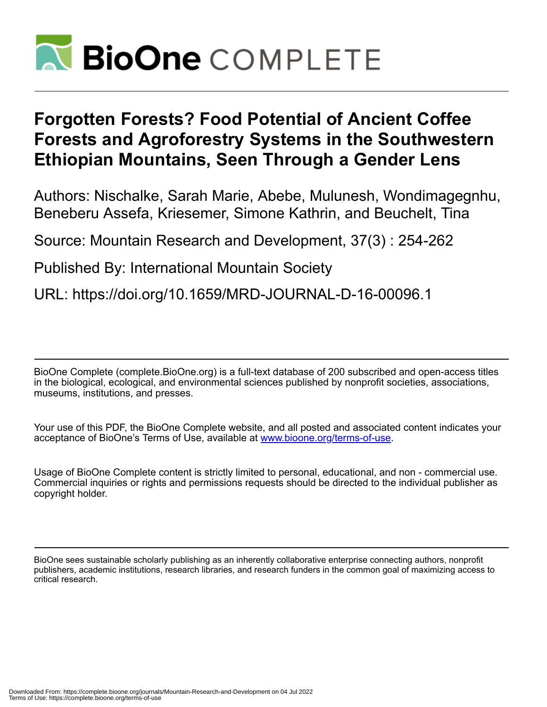

# **Forgotten Forests? Food Potential of Ancient Coffee Forests and Agroforestry Systems in the Southwestern Ethiopian Mountains, Seen Through a Gender Lens**

Authors: Nischalke, Sarah Marie, Abebe, Mulunesh, Wondimagegnhu, Beneberu Assefa, Kriesemer, Simone Kathrin, and Beuchelt, Tina

Source: Mountain Research and Development, 37(3) : 254-262

Published By: International Mountain Society

URL: https://doi.org/10.1659/MRD-JOURNAL-D-16-00096.1

BioOne Complete (complete.BioOne.org) is a full-text database of 200 subscribed and open-access titles in the biological, ecological, and environmental sciences published by nonprofit societies, associations, museums, institutions, and presses.

Your use of this PDF, the BioOne Complete website, and all posted and associated content indicates your acceptance of BioOne's Terms of Use, available at www.bioone.org/terms-of-use.

Usage of BioOne Complete content is strictly limited to personal, educational, and non - commercial use. Commercial inquiries or rights and permissions requests should be directed to the individual publisher as copyright holder.

BioOne sees sustainable scholarly publishing as an inherently collaborative enterprise connecting authors, nonprofit publishers, academic institutions, research libraries, and research funders in the common goal of maximizing access to critical research.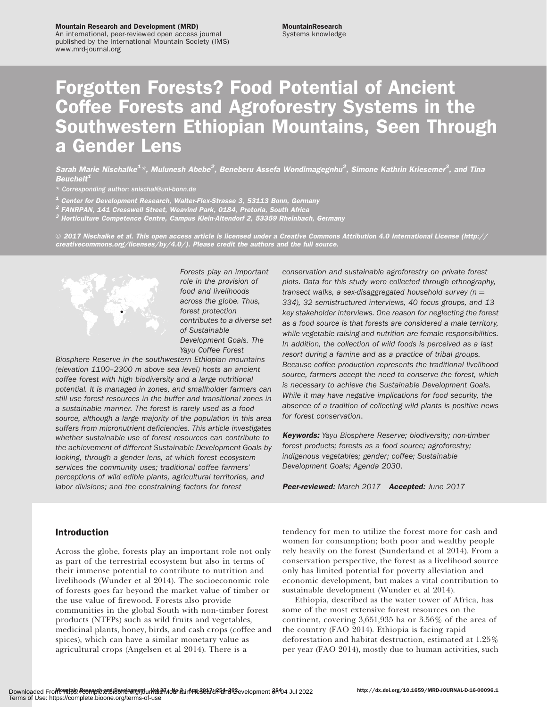#### Mountain Research and Development (MRD)

An international, peer-reviewed open access journal published by the International Mountain Society (IMS) www.mrd-journal.org

# Forgotten Forests? Food Potential of Ancient Coffee Forests and Agroforestry Systems in the Southwestern Ethiopian Mountains, Seen Through a Gender Lens

Sarah Marie Nischalke<sup>1</sup>\*, Mulunesh Abebe<sup>2</sup>, Beneberu Assefa Wondimagegnhu<sup>2</sup>, Simone Kathrin Kriesemer<sup>3</sup>, and Tina **Beuchelt** 

- Corresponding author: [snischal@uni-bonn.de](mailto:snischal@uni-bonn.de)
- $^{\text{1}}$  Center for Development Research, Walter-Flex-Strasse 3, 53113 Bonn, Germany
- FANRPAN, 141 Cresswell Street, Weavind Park, 0184, Pretoria, South Africa
- <sup>3</sup> Horticulture Competence Centre, Campus Klein-Altendorf 2, 53359 Rheinbach, Germany

 $\circ$  2017 Nischalke et al. This open access article is licensed under a Creative Commons Attribution 4.0 International License [\(http://](http://creativecommons.org/licenses/by/4.0/) [creativecommons.org/licenses/by/4.0/\)](http://creativecommons.org/licenses/by/4.0/). Please credit the authors and the full source.



Forests play an important role in the provision of food and livelihoods across the globe. Thus, forest protection contributes to a diverse set of Sustainable Development Goals. The Yayu Coffee Forest

Biosphere Reserve in the southwestern Ethiopian mountains (elevation 1100–2300 m above sea level) hosts an ancient coffee forest with high biodiversity and a large nutritional potential. It is managed in zones, and smallholder farmers can still use forest resources in the buffer and transitional zones in a sustainable manner. The forest is rarely used as a food source, although a large majority of the population in this area suffers from micronutrient deficiencies. This article investigates whether sustainable use of forest resources can contribute to the achievement of different Sustainable Development Goals by looking, through a gender lens, at which forest ecosystem services the community uses; traditional coffee farmers' perceptions of wild edible plants, agricultural territories, and labor divisions; and the constraining factors for forest

conservation and sustainable agroforestry on private forest plots. Data for this study were collected through ethnography, transect walks, a sex-disaggregated household survey ( $n =$ 334), 32 semistructured interviews, 40 focus groups, and 13 key stakeholder interviews. One reason for neglecting the forest as a food source is that forests are considered a male territory, while vegetable raising and nutrition are female responsibilities. In addition, the collection of wild foods is perceived as a last resort during a famine and as a practice of tribal groups. Because coffee production represents the traditional livelihood source, farmers accept the need to conserve the forest, which is necessary to achieve the Sustainable Development Goals. While it may have negative implications for food security, the absence of a tradition of collecting wild plants is positive news for forest conservation.

Keywords: Yayu Biosphere Reserve; biodiversity; non-timber forest products; forests as a food source; agroforestry; indigenous vegetables; gender; coffee; Sustainable Development Goals; Agenda 2030.

Peer-reviewed: March 2017 Accepted: June 2017

## **Introduction**

Across the globe, forests play an important role not only as part of the terrestrial ecosystem but also in terms of their immense potential to contribute to nutrition and livelihoods (Wunder et al 2014). The socioeconomic role of forests goes far beyond the market value of timber or the use value of firewood. Forests also provide communities in the global South with non-timber forest products (NTFPs) such as wild fruits and vegetables, medicinal plants, honey, birds, and cash crops (coffee and spices), which can have a similar monetary value as agricultural crops (Angelsen et al 2014). There is a

tendency for men to utilize the forest more for cash and women for consumption; both poor and wealthy people rely heavily on the forest (Sunderland et al 2014). From a conservation perspective, the forest as a livelihood source only has limited potential for poverty alleviation and economic development, but makes a vital contribution to sustainable development (Wunder et al 2014).

Ethiopia, described as the water tower of Africa, has some of the most extensive forest resources on the continent, covering 3,651,935 ha or 3.56% of the area of the country (FAO 2014). Ethiopia is facing rapid deforestation and habitat destruction, estimated at 1.25% per year (FAO 2014), mostly due to human activities, such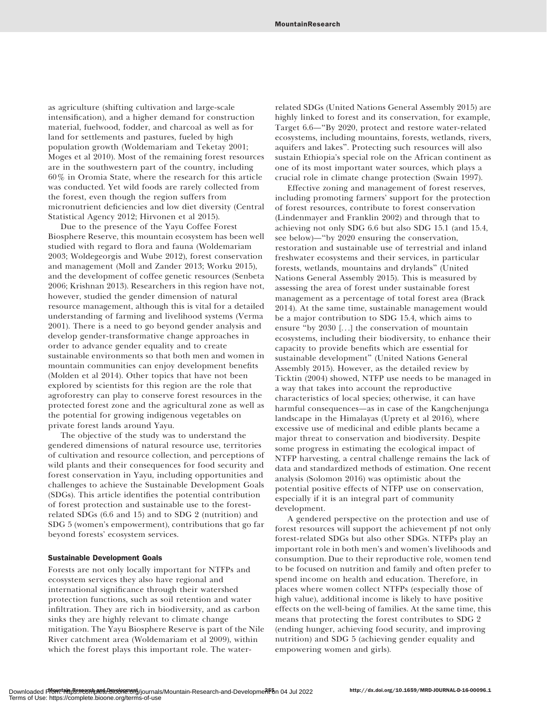as agriculture (shifting cultivation and large-scale intensification), and a higher demand for construction material, fuelwood, fodder, and charcoal as well as for land for settlements and pastures, fueled by high population growth (Woldemariam and Teketay 2001; Moges et al 2010). Most of the remaining forest resources are in the southwestern part of the country, including 60% in Oromia State, where the research for this article was conducted. Yet wild foods are rarely collected from the forest, even though the region suffers from micronutrient deficiencies and low diet diversity (Central Statistical Agency 2012; Hirvonen et al 2015).

Due to the presence of the Yayu Coffee Forest Biosphere Reserve, this mountain ecosystem has been well studied with regard to flora and fauna (Woldemariam 2003; Woldegeorgis and Wube 2012), forest conservation and management (Moll and Zander 2013; Worku 2015), and the development of coffee genetic resources (Senbeta 2006; Krishnan 2013). Researchers in this region have not, however, studied the gender dimension of natural resource management, although this is vital for a detailed understanding of farming and livelihood systems (Verma 2001). There is a need to go beyond gender analysis and develop gender-transformative change approaches in order to advance gender equality and to create sustainable environments so that both men and women in mountain communities can enjoy development benefits (Molden et al 2014). Other topics that have not been explored by scientists for this region are the role that agroforestry can play to conserve forest resources in the protected forest zone and the agricultural zone as well as the potential for growing indigenous vegetables on private forest lands around Yayu.

The objective of the study was to understand the gendered dimensions of natural resource use, territories of cultivation and resource collection, and perceptions of wild plants and their consequences for food security and forest conservation in Yayu, including opportunities and challenges to achieve the Sustainable Development Goals (SDGs). This article identifies the potential contribution of forest protection and sustainable use to the forestrelated SDGs (6.6 and 15) and to SDG 2 (nutrition) and SDG 5 (women's empowerment), contributions that go far beyond forests' ecosystem services.

### Sustainable Development Goals

Forests are not only locally important for NTFPs and ecosystem services they also have regional and international significance through their watershed protection functions, such as soil retention and water infiltration. They are rich in biodiversity, and as carbon sinks they are highly relevant to climate change mitigation. The Yayu Biosphere Reserve is part of the Nile River catchment area (Woldemariam et al 2009), within which the forest plays this important role. The waterrelated SDGs (United Nations General Assembly 2015) are highly linked to forest and its conservation, for example, Target 6.6—''By 2020, protect and restore water-related ecosystems, including mountains, forests, wetlands, rivers, aquifers and lakes''. Protecting such resources will also sustain Ethiopia's special role on the African continent as one of its most important water sources, which plays a crucial role in climate change protection (Swain 1997).

Effective zoning and management of forest reserves, including promoting farmers' support for the protection of forest resources, contribute to forest conservation (Lindenmayer and Franklin 2002) and through that to achieving not only SDG 6.6 but also SDG 15.1 (and 15.4, see below)—''by 2020 ensuring the conservation, restoration and sustainable use of terrestrial and inland freshwater ecosystems and their services, in particular forests, wetlands, mountains and drylands'' (United Nations General Assembly 2015). This is measured by assessing the area of forest under sustainable forest management as a percentage of total forest area (Brack 2014). At the same time, sustainable management would be a major contribution to SDG 15.4, which aims to ensure ''by 2030 [. . .] the conservation of mountain ecosystems, including their biodiversity, to enhance their capacity to provide benefits which are essential for sustainable development'' (United Nations General Assembly 2015). However, as the detailed review by Ticktin (2004) showed, NTFP use needs to be managed in a way that takes into account the reproductive characteristics of local species; otherwise, it can have harmful consequences—as in case of the Kangchenjunga landscape in the Himalayas (Uprety et al 2016), where excessive use of medicinal and edible plants became a major threat to conservation and biodiversity. Despite some progress in estimating the ecological impact of NTFP harvesting, a central challenge remains the lack of data and standardized methods of estimation. One recent analysis (Solomon 2016) was optimistic about the potential positive effects of NTFP use on conservation, especially if it is an integral part of community development.

A gendered perspective on the protection and use of forest resources will support the achievement pf not only forest-related SDGs but also other SDGs. NTFPs play an important role in both men's and women's livelihoods and consumption. Due to their reproductive role, women tend to be focused on nutrition and family and often prefer to spend income on health and education. Therefore, in places where women collect NTFPs (especially those of high value), additional income is likely to have positive effects on the well-being of families. At the same time, this means that protecting the forest contributes to SDG 2 (ending hunger, achieving food security, and improving nutrition) and SDG 5 (achieving gender equality and empowering women and girls).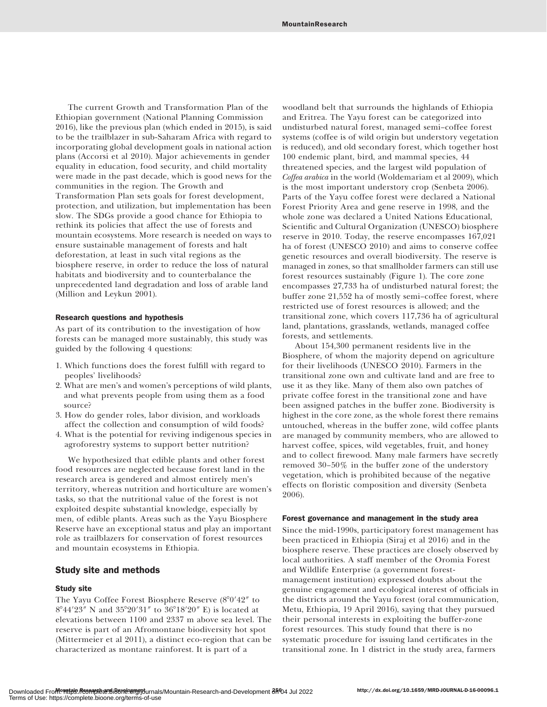The current Growth and Transformation Plan of the Ethiopian government (National Planning Commission 2016), like the previous plan (which ended in 2015), is said to be the trailblazer in sub-Saharam Africa with regard to incorporating global development goals in national action plans (Accorsi et al 2010). Major achievements in gender equality in education, food security, and child mortality were made in the past decade, which is good news for the communities in the region. The Growth and Transformation Plan sets goals for forest development, protection, and utilization, but implementation has been slow. The SDGs provide a good chance for Ethiopia to rethink its policies that affect the use of forests and mountain ecosystems. More research is needed on ways to ensure sustainable management of forests and halt deforestation, at least in such vital regions as the biosphere reserve, in order to reduce the loss of natural habitats and biodiversity and to counterbalance the unprecedented land degradation and loss of arable land (Million and Leykun 2001).

#### Research questions and hypothesis

As part of its contribution to the investigation of how forests can be managed more sustainably, this study was guided by the following 4 questions:

- 1. Which functions does the forest fulfill with regard to peoples' livelihoods?
- 2. What are men's and women's perceptions of wild plants, and what prevents people from using them as a food source?
- 3. How do gender roles, labor division, and workloads affect the collection and consumption of wild foods?
- 4. What is the potential for reviving indigenous species in agroforestry systems to support better nutrition?

We hypothesized that edible plants and other forest food resources are neglected because forest land in the research area is gendered and almost entirely men's territory, whereas nutrition and horticulture are women's tasks, so that the nutritional value of the forest is not exploited despite substantial knowledge, especially by men, of edible plants. Areas such as the Yayu Biosphere Reserve have an exceptional status and play an important role as trailblazers for conservation of forest resources and mountain ecosystems in Ethiopia.

## Study site and methods

### Study site

The Yayu Coffee Forest Biosphere Reserve (8°0'42" to 8°44′23″ N and 35°20′31″ to 36°18′20″ E) is located at elevations between 1100 and 2337 m above sea level. The reserve is part of an Afromontane biodiversity hot spot (Mittermeier et al 2011), a distinct eco-region that can be characterized as montane rainforest. It is part of a

woodland belt that surrounds the highlands of Ethiopia and Eritrea. The Yayu forest can be categorized into undisturbed natural forest, managed semi–coffee forest systems (coffee is of wild origin but understory vegetation is reduced), and old secondary forest, which together host 100 endemic plant, bird, and mammal species, 44 threatened species, and the largest wild population of Coffea arabica in the world (Woldemariam et al 2009), which is the most important understory crop (Senbeta 2006). Parts of the Yayu coffee forest were declared a National Forest Priority Area and gene reserve in 1998, and the whole zone was declared a United Nations Educational, Scientific and Cultural Organization (UNESCO) biosphere reserve in 2010. Today, the reserve encompasses 167,021 ha of forest (UNESCO 2010) and aims to conserve coffee genetic resources and overall biodiversity. The reserve is managed in zones, so that smallholder farmers can still use forest resources sustainably (Figure 1). The core zone encompasses 27,733 ha of undisturbed natural forest; the buffer zone 21,552 ha of mostly semi–coffee forest, where restricted use of forest resources is allowed; and the transitional zone, which covers 117,736 ha of agricultural land, plantations, grasslands, wetlands, managed coffee forests, and settlements.

About 154,300 permanent residents live in the Biosphere, of whom the majority depend on agriculture for their livelihoods (UNESCO 2010). Farmers in the transitional zone own and cultivate land and are free to use it as they like. Many of them also own patches of private coffee forest in the transitional zone and have been assigned patches in the buffer zone. Biodiversity is highest in the core zone, as the whole forest there remains untouched, whereas in the buffer zone, wild coffee plants are managed by community members, who are allowed to harvest coffee, spices, wild vegetables, fruit, and honey and to collect firewood. Many male farmers have secretly removed 30–50% in the buffer zone of the understory vegetation, which is prohibited because of the negative effects on floristic composition and diversity (Senbeta 2006).

### Forest governance and management in the study area

Since the mid-1990s, participatory forest management has been practiced in Ethiopia (Siraj et al 2016) and in the biosphere reserve. These practices are closely observed by local authorities. A staff member of the Oromia Forest and Wildlife Enterprise (a government forestmanagement institution) expressed doubts about the genuine engagement and ecological interest of officials in the districts around the Yayu forest (oral communication, Metu, Ethiopia, 19 April 2016), saying that they pursued their personal interests in exploiting the buffer-zone forest resources. This study found that there is no systematic procedure for issuing land certificates in the transitional zone. In 1 district in the study area, farmers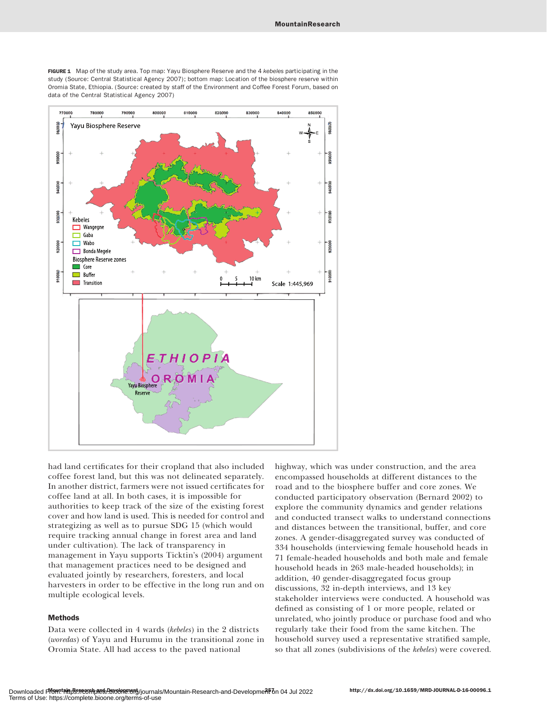



had land certificates for their cropland that also included coffee forest land, but this was not delineated separately. In another district, farmers were not issued certificates for coffee land at all. In both cases, it is impossible for authorities to keep track of the size of the existing forest cover and how land is used. This is needed for control and strategizing as well as to pursue SDG 15 (which would require tracking annual change in forest area and land under cultivation). The lack of transparency in management in Yayu supports Ticktin's (2004) argument that management practices need to be designed and evaluated jointly by researchers, foresters, and local harvesters in order to be effective in the long run and on multiple ecological levels.

## Methods

Data were collected in 4 wards (kebeles) in the 2 districts (woredas) of Yayu and Hurumu in the transitional zone in Oromia State. All had access to the paved national

highway, which was under construction, and the area encompassed households at different distances to the road and to the biosphere buffer and core zones. We conducted participatory observation (Bernard 2002) to explore the community dynamics and gender relations and conducted transect walks to understand connections and distances between the transitional, buffer, and core zones. A gender-disaggregated survey was conducted of 334 households (interviewing female household heads in 71 female-headed households and both male and female household heads in 263 male-headed households); in addition, 40 gender-disaggregated focus group discussions, 32 in-depth interviews, and 13 key stakeholder interviews were conducted. A household was defined as consisting of 1 or more people, related or unrelated, who jointly produce or purchase food and who regularly take their food from the same kitchen. The household survey used a representative stratified sample, so that all zones (subdivisions of the kebeles) were covered.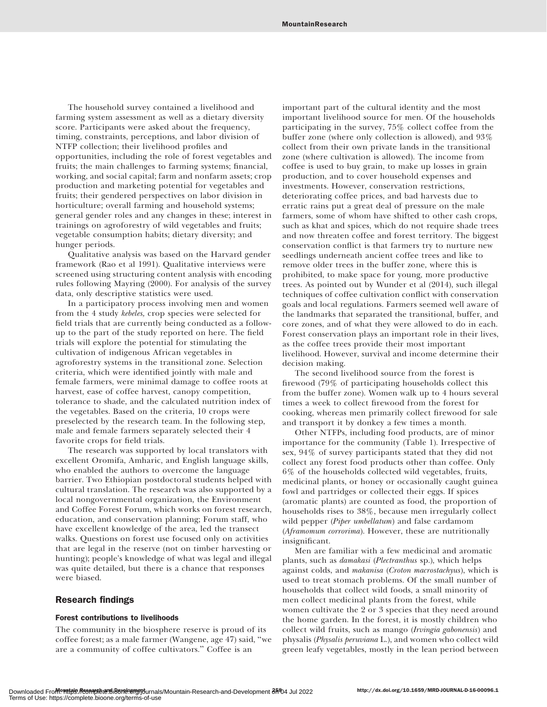The household survey contained a livelihood and farming system assessment as well as a dietary diversity score. Participants were asked about the frequency, timing, constraints, perceptions, and labor division of NTFP collection; their livelihood profiles and opportunities, including the role of forest vegetables and fruits; the main challenges to farming systems; financial, working, and social capital; farm and nonfarm assets; crop production and marketing potential for vegetables and fruits; their gendered perspectives on labor division in horticulture; overall farming and household systems; general gender roles and any changes in these; interest in trainings on agroforestry of wild vegetables and fruits; vegetable consumption habits; dietary diversity; and hunger periods.

Qualitative analysis was based on the Harvard gender framework (Rao et al 1991). Qualitative interviews were screened using structuring content analysis with encoding rules following Mayring (2000). For analysis of the survey data, only descriptive statistics were used.

In a participatory process involving men and women from the 4 study kebeles, crop species were selected for field trials that are currently being conducted as a followup to the part of the study reported on here. The field trials will explore the potential for stimulating the cultivation of indigenous African vegetables in agroforestry systems in the transitional zone. Selection criteria, which were identified jointly with male and female farmers, were minimal damage to coffee roots at harvest, ease of coffee harvest, canopy competition, tolerance to shade, and the calculated nutrition index of the vegetables. Based on the criteria, 10 crops were preselected by the research team. In the following step, male and female farmers separately selected their 4 favorite crops for field trials.

The research was supported by local translators with excellent Oromifa, Amharic, and English language skills, who enabled the authors to overcome the language barrier. Two Ethiopian postdoctoral students helped with cultural translation. The research was also supported by a local nongovernmental organization, the Environment and Coffee Forest Forum, which works on forest research, education, and conservation planning; Forum staff, who have excellent knowledge of the area, led the transect walks. Questions on forest use focused only on activities that are legal in the reserve (not on timber harvesting or hunting); people's knowledge of what was legal and illegal was quite detailed, but there is a chance that responses were biased.

## Research findings

## Forest contributions to livelihoods

The community in the biosphere reserve is proud of its coffee forest; as a male farmer (Wangene, age 47) said, ''we are a community of coffee cultivators.'' Coffee is an

important part of the cultural identity and the most important livelihood source for men. Of the households participating in the survey, 75% collect coffee from the buffer zone (where only collection is allowed), and 93% collect from their own private lands in the transitional zone (where cultivation is allowed). The income from coffee is used to buy grain, to make up losses in grain production, and to cover household expenses and investments. However, conservation restrictions, deteriorating coffee prices, and bad harvests due to erratic rains put a great deal of pressure on the male farmers, some of whom have shifted to other cash crops, such as khat and spices, which do not require shade trees and now threaten coffee and forest territory. The biggest conservation conflict is that farmers try to nurture new seedlings underneath ancient coffee trees and like to remove older trees in the buffer zone, where this is prohibited, to make space for young, more productive trees. As pointed out by Wunder et al (2014), such illegal techniques of coffee cultivation conflict with conservation goals and local regulations. Farmers seemed well aware of the landmarks that separated the transitional, buffer, and core zones, and of what they were allowed to do in each. Forest conservation plays an important role in their lives, as the coffee trees provide their most important livelihood. However, survival and income determine their decision making.

The second livelihood source from the forest is firewood (79% of participating households collect this from the buffer zone). Women walk up to 4 hours several times a week to collect firewood from the forest for cooking, whereas men primarily collect firewood for sale and transport it by donkey a few times a month.

Other NTFPs, including food products, are of minor importance for the community (Table 1). Irrespective of sex, 94% of survey participants stated that they did not collect any forest food products other than coffee. Only 6% of the households collected wild vegetables, fruits, medicinal plants, or honey or occasionally caught guinea fowl and partridges or collected their eggs. If spices (aromatic plants) are counted as food, the proportion of households rises to 38%, because men irregularly collect wild pepper (Piper umbellatum) and false cardamom (Aframomum corrorima). However, these are nutritionally insignificant.

Men are familiar with a few medicinal and aromatic plants, such as damakasi (Plectranthus sp.), which helps against colds, and makanisa (Croton macrostachyus), which is used to treat stomach problems. Of the small number of households that collect wild foods, a small minority of men collect medicinal plants from the forest, while women cultivate the 2 or 3 species that they need around the home garden. In the forest, it is mostly children who collect wild fruits, such as mango (Irvingia gabonensis) and physalis (Physalis peruviana L.), and women who collect wild green leafy vegetables, mostly in the lean period between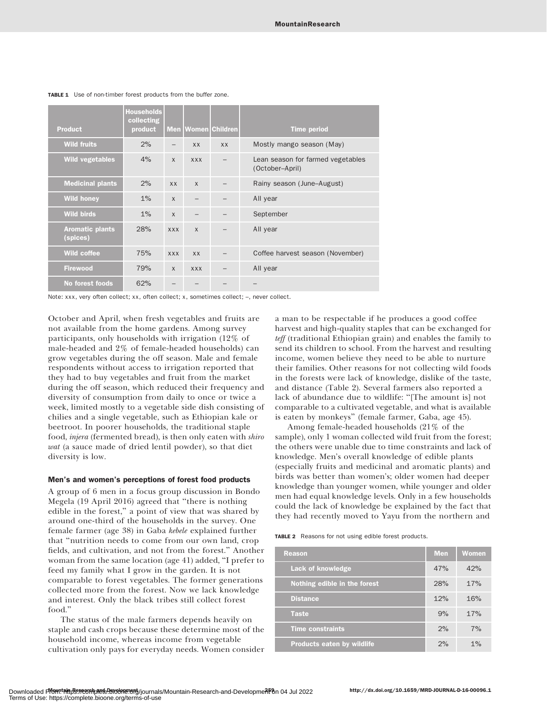| <b>Product</b>                     | <b>Households</b><br>collecting<br>product |              |              | Men   Women   Children | <b>Time period</b>                                   |
|------------------------------------|--------------------------------------------|--------------|--------------|------------------------|------------------------------------------------------|
| <b>Wild fruits</b>                 | 2%                                         |              | <b>XX</b>    | <b>XX</b>              | Mostly mango season (May)                            |
| <b>Wild vegetables</b>             | 4%                                         | $\mathsf{X}$ | <b>XXX</b>   |                        | Lean season for farmed vegetables<br>(October-April) |
| <b>Medicinal plants</b>            | 2%                                         | <b>XX</b>    | $\mathsf{x}$ |                        | Rainy season (June-August)                           |
| <b>Wild honey</b>                  | $1\%$                                      | $\mathsf{x}$ |              |                        | All year                                             |
| <b>Wild birds</b>                  | $1\%$                                      | $\mathsf{x}$ |              |                        | September                                            |
| <b>Aromatic plants</b><br>(spices) | 28%                                        | <b>XXX</b>   | $\mathsf{X}$ |                        | All year                                             |
| <b>Wild coffee</b>                 | 75%                                        | <b>XXX</b>   | <b>XX</b>    |                        | Coffee harvest season (November)                     |
| <b>Firewood</b>                    | 79%                                        | $\mathsf{X}$ | <b>XXX</b>   |                        | All year                                             |
| No forest foods                    | 62%                                        |              |              |                        |                                                      |

#### TABLE 1 Use of non-timber forest products from the buffer zone.

Note: xxx, very often collect; xx, often collect; x, sometimes collect; –, never collect.

October and April, when fresh vegetables and fruits are not available from the home gardens. Among survey participants, only households with irrigation (12% of male-headed and 2% of female-headed households) can grow vegetables during the off season. Male and female respondents without access to irrigation reported that they had to buy vegetables and fruit from the market during the off season, which reduced their frequency and diversity of consumption from daily to once or twice a week, limited mostly to a vegetable side dish consisting of chilies and a single vegetable, such as Ethiopian kale or beetroot. In poorer households, the traditional staple food, injera (fermented bread), is then only eaten with shiro wat (a sauce made of dried lentil powder), so that diet diversity is low.

### Men's and women's perceptions of forest food products

A group of 6 men in a focus group discussion in Bondo Megela (19 April 2016) agreed that ''there is nothing edible in the forest,'' a point of view that was shared by around one-third of the households in the survey. One female farmer (age 38) in Gaba kebele explained further that ''nutrition needs to come from our own land, crop fields, and cultivation, and not from the forest.'' Another woman from the same location (age 41) added, ''I prefer to feed my family what I grow in the garden. It is not comparable to forest vegetables. The former generations collected more from the forest. Now we lack knowledge and interest. Only the black tribes still collect forest food.''

The status of the male farmers depends heavily on staple and cash crops because these determine most of the household income, whereas income from vegetable cultivation only pays for everyday needs. Women consider a man to be respectable if he produces a good coffee harvest and high-quality staples that can be exchanged for teff (traditional Ethiopian grain) and enables the family to send its children to school. From the harvest and resulting income, women believe they need to be able to nurture their families. Other reasons for not collecting wild foods in the forests were lack of knowledge, dislike of the taste, and distance (Table 2). Several farmers also reported a lack of abundance due to wildlife: ''[The amount is] not comparable to a cultivated vegetable, and what is available is eaten by monkeys'' (female farmer, Gaba, age 45).

Among female-headed households (21% of the sample), only 1 woman collected wild fruit from the forest; the others were unable due to time constraints and lack of knowledge. Men's overall knowledge of edible plants (especially fruits and medicinal and aromatic plants) and birds was better than women's; older women had deeper knowledge than younger women, while younger and older men had equal knowledge levels. Only in a few households could the lack of knowledge be explained by the fact that they had recently moved to Yayu from the northern and

TABLE 2 Reasons for not using edible forest products.

I

| <b>Reason</b>                     | <b>Men</b> | <b>Women</b> |
|-----------------------------------|------------|--------------|
| <b>Lack of knowledge</b>          | 47%        | 42%          |
| Nothing edible in the forest      | 28%        | 17%          |
| <b>Distance</b>                   | 12%        | 16%          |
| <b>Taste</b>                      | 9%         | 17%          |
| <b>Time constraints</b>           | 2%         | 7%           |
| <b>Products eaten by wildlife</b> | 2%         | $1\%$        |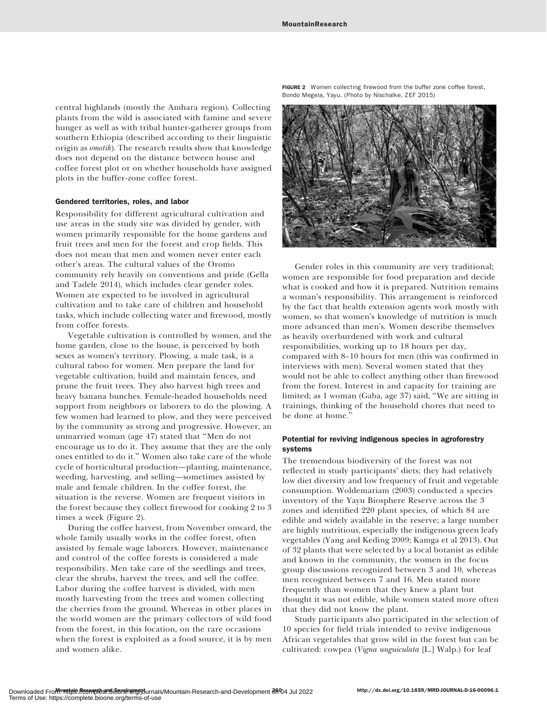central highlands (mostly the Amhara region). Collecting plants from the wild is associated with famine and severe hunger as well as with tribal hunter-gatherer groups from southern Ethiopia (described according to their linguistic origin as omotik). The research results show that knowledge does not depend on the distance between house and coffee forest plot or on whether households have assigned plots in the buffer-zone coffee forest.

#### Gendered territories, roles, and labor

Responsibility for different agricultural cultivation and use areas in the study site was divided by gender, with women primarily responsible for the home gardens and fruit trees and men for the forest and crop fields. This does not mean that men and women never enter each other's areas. The cultural values of the Oromo community rely heavily on conventions and pride (Gella and Tadele 2014), which includes clear gender roles. Women are expected to be involved in agricultural cultivation and to take care of children and household tasks, which include collecting water and firewood, mostly from coffee forests.

Vegetable cultivation is controlled by women, and the home garden, close to the house, is perceived by both sexes as women's territory. Plowing, a male task, is a cultural taboo for women. Men prepare the land for vegetable cultivation, build and maintain fences, and prune the fruit trees. They also harvest high trees and heavy banana bunches. Female-headed households need support from neighbors or laborers to do the plowing. A few women had learned to plow, and they were perceived by the community as strong and progressive. However, an unmarried woman (age 47) stated that ''Men do not encourage us to do it. They assume that they are the only ones entitled to do it.'' Women also take care of the whole cycle of horticultural production—planting, maintenance, weeding, harvesting, and selling—sometimes assisted by male and female children. In the coffee forest, the situation is the reverse. Women are frequent visitors in the forest because they collect firewood for cooking 2 to 3 times a week (Figure 2).

During the coffee harvest, from November onward, the whole family usually works in the coffee forest, often assisted by female wage laborers. However, maintenance and control of the coffee forests is considered a male responsibility. Men take care of the seedlings and trees, clear the shrubs, harvest the trees, and sell the coffee. Labor during the coffee harvest is divided, with men mostly harvesting from the trees and women collecting the cherries from the ground. Whereas in other places in the world women are the primary collectors of wild food from the forest, in this location, on the rare occasions when the forest is exploited as a food source, it is by men and women alike.

FIGURE 2 Women collecting firewood from the buffer zone coffee forest, Bondo Megela, Yayu. (Photo by Nischalke, ZEF 2015)



Gender roles in this community are very traditional; women are responsible for food preparation and decide what is cooked and how it is prepared. Nutrition remains a woman's responsibility. This arrangement is reinforced by the fact that health extension agents work mostly with women, so that women's knowledge of nutrition is much more advanced than men's. Women describe themselves as heavily overburdened with work and cultural responsibilities, working up to 18 hours per day, compared with 8–10 hours for men (this was confirmed in interviews with men). Several women stated that they would not be able to collect anything other than firewood from the forest. Interest in and capacity for training are limited; as 1 woman (Gaba, age 37) said, ''We are sitting in trainings, thinking of the household chores that need to be done at home.''

## Potential for reviving indigenous species in agroforestry systems

The tremendous biodiversity of the forest was not reflected in study participants' diets; they had relatively low diet diversity and low frequency of fruit and vegetable consumption. Woldemariam (2003) conducted a species inventory of the Yayu Biosphere Reserve across the 3 zones and identified 220 plant species, of which 84 are edible and widely available in the reserve; a large number are highly nutritious, especially the indigenous green leafy vegetables (Yang and Keding 2009; Kamga et al 2013). Out of 32 plants that were selected by a local botanist as edible and known in the community, the women in the focus group discussions recognized between 3 and 10, whereas men recognized between 7 and 16. Men stated more frequently than women that they knew a plant but thought it was not edible, while women stated more often that they did not know the plant.

Study participants also participated in the selection of 10 species for field trials intended to revive indigenous African vegetables that grow wild in the forest but can be cultivated: cowpea (Vigna unguiculata [L.] Walp.) for leaf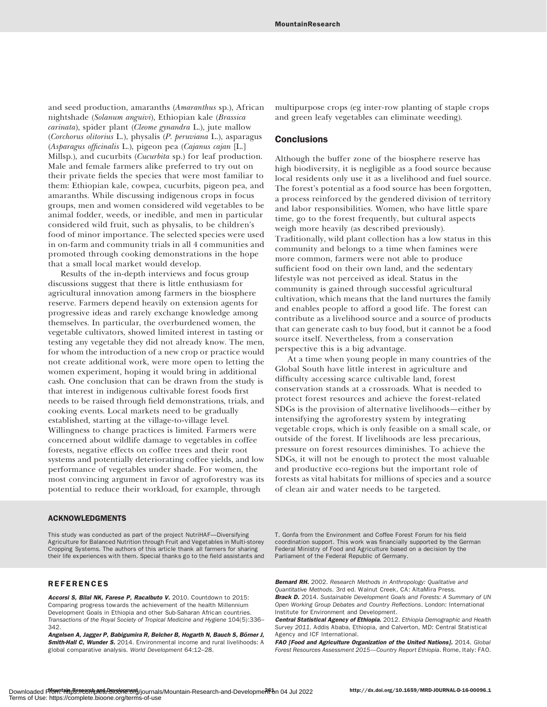and seed production, amaranths (Amaranthus sp.), African nightshade (Solanum anguivi), Ethiopian kale (Brassica carinata), spider plant (Cleome gynandra L.), jute mallow (Corchorus olitorius L.), physalis (P. peruviana L.), asparagus (Asparagus officinalis L.), pigeon pea (Cajanus cajan [L.] Millsp.), and cucurbits (Cucurbita sp.) for leaf production. Male and female farmers alike preferred to try out on their private fields the species that were most familiar to them: Ethiopian kale, cowpea, cucurbits, pigeon pea, and amaranths. While discussing indigenous crops in focus groups, men and women considered wild vegetables to be animal fodder, weeds, or inedible, and men in particular considered wild fruit, such as physalis, to be children's food of minor importance. The selected species were used in on-farm and community trials in all 4 communities and promoted through cooking demonstrations in the hope that a small local market would develop.

Results of the in-depth interviews and focus group discussions suggest that there is little enthusiasm for agricultural innovation among farmers in the biosphere reserve. Farmers depend heavily on extension agents for progressive ideas and rarely exchange knowledge among themselves. In particular, the overburdened women, the vegetable cultivators, showed limited interest in tasting or testing any vegetable they did not already know. The men, for whom the introduction of a new crop or practice would not create additional work, were more open to letting the women experiment, hoping it would bring in additional cash. One conclusion that can be drawn from the study is that interest in indigenous cultivable forest foods first needs to be raised through field demonstrations, trials, and cooking events. Local markets need to be gradually established, starting at the village-to-village level. Willingness to change practices is limited. Farmers were concerned about wildlife damage to vegetables in coffee forests, negative effects on coffee trees and their root systems and potentially deteriorating coffee yields, and low performance of vegetables under shade. For women, the most convincing argument in favor of agroforestry was its potential to reduce their workload, for example, through

## multipurpose crops (eg inter-row planting of staple crops and green leafy vegetables can eliminate weeding).

## **Conclusions**

Although the buffer zone of the biosphere reserve has high biodiversity, it is negligible as a food source because local residents only use it as a livelihood and fuel source. The forest's potential as a food source has been forgotten, a process reinforced by the gendered division of territory and labor responsibilities. Women, who have little spare time, go to the forest frequently, but cultural aspects weigh more heavily (as described previously). Traditionally, wild plant collection has a low status in this community and belongs to a time when famines were more common, farmers were not able to produce sufficient food on their own land, and the sedentary lifestyle was not perceived as ideal. Status in the community is gained through successful agricultural cultivation, which means that the land nurtures the family and enables people to afford a good life. The forest can contribute as a livelihood source and a source of products that can generate cash to buy food, but it cannot be a food source itself. Nevertheless, from a conservation perspective this is a big advantage.

At a time when young people in many countries of the Global South have little interest in agriculture and difficulty accessing scarce cultivable land, forest conservation stands at a crossroads. What is needed to protect forest resources and achieve the forest-related SDGs is the provision of alternative livelihoods—either by intensifying the agroforestry system by integrating vegetable crops, which is only feasible on a small scale, or outside of the forest. If livelihoods are less precarious, pressure on forest resources diminishes. To achieve the SDGs, it will not be enough to protect the most valuable and productive eco-regions but the important role of forests as vital habitats for millions of species and a source of clean air and water needs to be targeted.

#### ACKNOWLEDGMENTS

This study was conducted as part of the project NutriHAF—Diversifying Agriculture for Balanced Nutrition through Fruit and Vegetables in Multi-storey Cropping Systems. The authors of this article thank all farmers for sharing their life experiences with them. Special thanks go to the field assistants and

#### REFERENCES

Accorsi S, Bilal NK, Farese P, Racalbuto V. 2010. Countdown to 2015: Comparing progress towards the achievement of the health Millennium Development Goals in Ethiopia and other Sub-Saharan African countries. Transactions of the Royal Society of Tropical Medicine and Hygiene 104(5):336– 342.

Angelsen A, Jagger P, Babigumira R, Belcher B, Hogarth N, Bauch S, Börner J, Smith-Hall C, Wunder S. 2014. Environmental income and rural livelihoods: A global comparative analysis. World Development 64:12–28.

T. Gonfa from the Environment and Coffee Forest Forum for his field coordination support. This work was financially supported by the German Federal Ministry of Food and Agriculture based on a decision by the Parliament of the Federal Republic of Germany.

Bernard RH. 2002. Research Methods in Anthropology: Qualitative and Quantitative Methods. 3rd ed. Walnut Creek, CA: AltaMira Press. Brack D. 2014. Sustainable Development Goals and Forests: A Summary of UN Open Working Group Debates and Country Reflections. London: International Institute for Environment and Development.

Central Statistical Agency of Ethiopia. 2012. Ethiopia Demographic and Health Survey 2011. Addis Ababa, Ethiopia, and Calverton, MD: Central Statistical Agency and ICF International.

FAO [Food and Agriculture Organization of the United Nations]. 2014. Global Forest Resources Assessment 2015—Country Report Ethiopia. Rome, Italy: FAO.